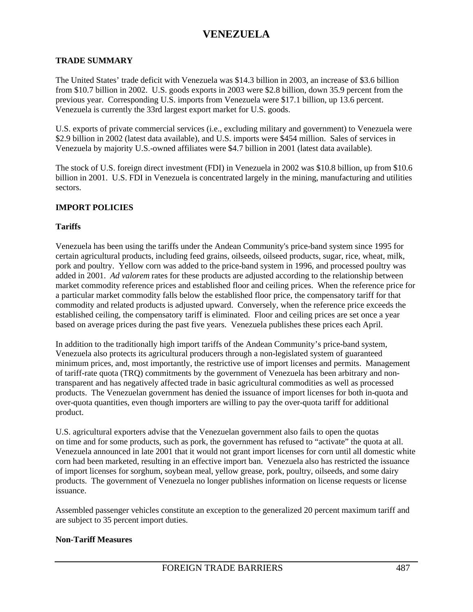#### **TRADE SUMMARY**

The United States' trade deficit with Venezuela was \$14.3 billion in 2003, an increase of \$3.6 billion from \$10.7 billion in 2002. U.S. goods exports in 2003 were \$2.8 billion, down 35.9 percent from the previous year. Corresponding U.S. imports from Venezuela were \$17.1 billion, up 13.6 percent. Venezuela is currently the 33rd largest export market for U.S. goods.

U.S. exports of private commercial services (i.e., excluding military and government) to Venezuela were \$2.9 billion in 2002 (latest data available), and U.S. imports were \$454 million. Sales of services in Venezuela by majority U.S.-owned affiliates were \$4.7 billion in 2001 (latest data available).

The stock of U.S. foreign direct investment (FDI) in Venezuela in 2002 was \$10.8 billion, up from \$10.6 billion in 2001. U.S. FDI in Venezuela is concentrated largely in the mining, manufacturing and utilities sectors.

#### **IMPORT POLICIES**

#### **Tariffs**

Venezuela has been using the tariffs under the Andean Community's price-band system since 1995 for certain agricultural products, including feed grains, oilseeds, oilseed products, sugar, rice, wheat, milk, pork and poultry. Yellow corn was added to the price-band system in 1996, and processed poultry was added in 2001. *Ad valorem* rates for these products are adjusted according to the relationship between market commodity reference prices and established floor and ceiling prices. When the reference price for a particular market commodity falls below the established floor price, the compensatory tariff for that commodity and related products is adjusted upward. Conversely, when the reference price exceeds the established ceiling, the compensatory tariff is eliminated. Floor and ceiling prices are set once a year based on average prices during the past five years. Venezuela publishes these prices each April.

In addition to the traditionally high import tariffs of the Andean Community's price-band system, Venezuela also protects its agricultural producers through a non-legislated system of guaranteed minimum prices, and, most importantly, the restrictive use of import licenses and permits. Management of tariff-rate quota (TRQ) commitments by the government of Venezuela has been arbitrary and nontransparent and has negatively affected trade in basic agricultural commodities as well as processed products. The Venezuelan government has denied the issuance of import licenses for both in-quota and over-quota quantities, even though importers are willing to pay the over-quota tariff for additional product.

U.S. agricultural exporters advise that the Venezuelan government also fails to open the quotas on time and for some products, such as pork, the government has refused to "activate" the quota at all. Venezuela announced in late 2001 that it would not grant import licenses for corn until all domestic white corn had been marketed, resulting in an effective import ban. Venezuela also has restricted the issuance of import licenses for sorghum, soybean meal, yellow grease, pork, poultry, oilseeds, and some dairy products. The government of Venezuela no longer publishes information on license requests or license issuance.

Assembled passenger vehicles constitute an exception to the generalized 20 percent maximum tariff and are subject to 35 percent import duties.

#### **Non-Tariff Measures**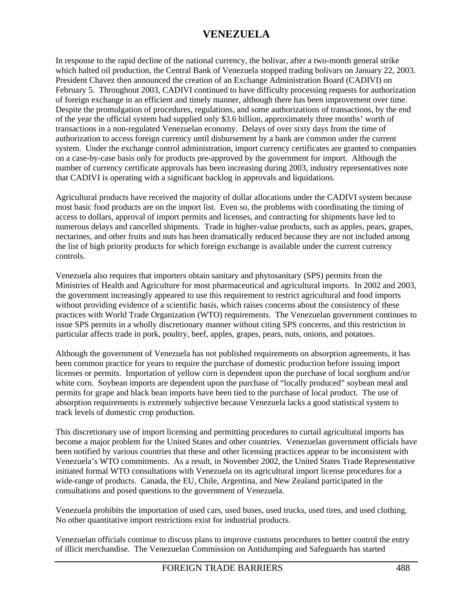In response to the rapid decline of the national currency, the bolivar, after a two-month general strike which halted oil production, the Central Bank of Venezuela stopped trading bolivars on January 22, 2003. President Chavez then announced the creation of an Exchange Administration Board (CADIVI) on February 5. Throughout 2003, CADIVI continued to have difficulty processing requests for authorization of foreign exchange in an efficient and timely manner, although there has been improvement over time. Despite the promulgation of procedures, regulations, and some authorizations of transactions, by the end of the year the official system had supplied only \$3.6 billion, approximately three months' worth of transactions in a non-regulated Venezuelan economy. Delays of over sixty days from the time of authorization to access foreign currency until disbursement by a bank are common under the current system. Under the exchange control administration, import currency certificates are granted to companies on a case-by-case basis only for products pre-approved by the government for import. Although the number of currency certificate approvals has been increasing during 2003, industry representatives note that CADIVI is operating with a significant backlog in approvals and liquidations.

Agricultural products have received the majority of dollar allocations under the CADIVI system because most basic food products are on the import list. Even so, the problems with coordinating the timing of access to dollars, approval of import permits and licenses, and contracting for shipments have led to numerous delays and cancelled shipments. Trade in higher-value products, such as apples, pears, grapes, nectarines, and other fruits and nuts has been dramatically reduced because they are not included among the list of high priority products for which foreign exchange is available under the current currency controls.

Venezuela also requires that importers obtain sanitary and phytosanitary (SPS) permits from the Ministries of Health and Agriculture for most pharmaceutical and agricultural imports. In 2002 and 2003, the government increasingly appeared to use this requirement to restrict agricultural and food imports without providing evidence of a scientific basis, which raises concerns about the consistency of these practices with World Trade Organization (WTO) requirements. The Venezuelan government continues to issue SPS permits in a wholly discretionary manner without citing SPS concerns, and this restriction in particular affects trade in pork, poultry, beef, apples, grapes, pears, nuts, onions, and potatoes.

Although the government of Venezuela has not published requirements on absorption agreements, it has been common practice for years to require the purchase of domestic production before issuing import licenses or permits. Importation of yellow corn is dependent upon the purchase of local sorghum and/or white corn. Soybean imports are dependent upon the purchase of "locally produced" soybean meal and permits for grape and black bean imports have been tied to the purchase of local product. The use of absorption requirements is extremely subjective because Venezuela lacks a good statistical system to track levels of domestic crop production.

This discretionary use of import licensing and permitting procedures to curtail agricultural imports has become a major problem for the United States and other countries. Venezuelan government officials have been notified by various countries that these and other licensing practices appear to be inconsistent with Venezuela's WTO commitments. As a result, in November 2002, the United States Trade Representative initiated formal WTO consultations with Venezuela on its agricultural import license procedures for a wide-range of products. Canada, the EU, Chile, Argentina, and New Zealand participated in the consultations and posed questions to the government of Venezuela.

Venezuela prohibits the importation of used cars, used buses, used trucks, used tires, and used clothing. No other quantitative import restrictions exist for industrial products.

Venezuelan officials continue to discuss plans to improve customs procedures to better control the entry of illicit merchandise. The Venezuelan Commission on Antidumping and Safeguards has started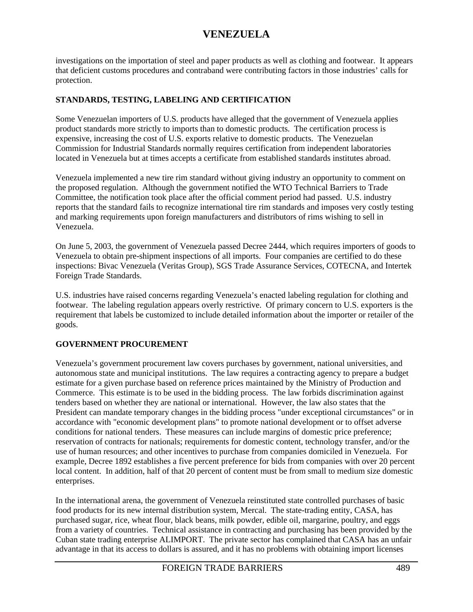investigations on the importation of steel and paper products as well as clothing and footwear. It appears that deficient customs procedures and contraband were contributing factors in those industries' calls for protection.

### **STANDARDS, TESTING, LABELING AND CERTIFICATION**

Some Venezuelan importers of U.S. products have alleged that the government of Venezuela applies product standards more strictly to imports than to domestic products. The certification process is expensive, increasing the cost of U.S. exports relative to domestic products. The Venezuelan Commission for Industrial Standards normally requires certification from independent laboratories located in Venezuela but at times accepts a certificate from established standards institutes abroad.

Venezuela implemented a new tire rim standard without giving industry an opportunity to comment on the proposed regulation. Although the government notified the WTO Technical Barriers to Trade Committee, the notification took place after the official comment period had passed. U.S. industry reports that the standard fails to recognize international tire rim standards and imposes very costly testing and marking requirements upon foreign manufacturers and distributors of rims wishing to sell in Venezuela.

On June 5, 2003, the government of Venezuela passed Decree 2444, which requires importers of goods to Venezuela to obtain pre-shipment inspections of all imports. Four companies are certified to do these inspections: Bivac Venezuela (Veritas Group), SGS Trade Assurance Services, COTECNA, and Intertek Foreign Trade Standards.

U.S. industries have raised concerns regarding Venezuela's enacted labeling regulation for clothing and footwear. The labeling regulation appears overly restrictive. Of primary concern to U.S. exporters is the requirement that labels be customized to include detailed information about the importer or retailer of the goods.

### **GOVERNMENT PROCUREMENT**

Venezuela's government procurement law covers purchases by government, national universities, and autonomous state and municipal institutions. The law requires a contracting agency to prepare a budget estimate for a given purchase based on reference prices maintained by the Ministry of Production and Commerce. This estimate is to be used in the bidding process. The law forbids discrimination against tenders based on whether they are national or international. However, the law also states that the President can mandate temporary changes in the bidding process "under exceptional circumstances" or in accordance with "economic development plans" to promote national development or to offset adverse conditions for national tenders. These measures can include margins of domestic price preference; reservation of contracts for nationals; requirements for domestic content, technology transfer, and/or the use of human resources; and other incentives to purchase from companies domiciled in Venezuela. For example, Decree 1892 establishes a five percent preference for bids from companies with over 20 percent local content. In addition, half of that 20 percent of content must be from small to medium size domestic enterprises.

In the international arena, the government of Venezuela reinstituted state controlled purchases of basic food products for its new internal distribution system, Mercal. The state-trading entity, CASA, has purchased sugar, rice, wheat flour, black beans, milk powder, edible oil, margarine, poultry, and eggs from a variety of countries. Technical assistance in contracting and purchasing has been provided by the Cuban state trading enterprise ALIMPORT. The private sector has complained that CASA has an unfair advantage in that its access to dollars is assured, and it has no problems with obtaining import licenses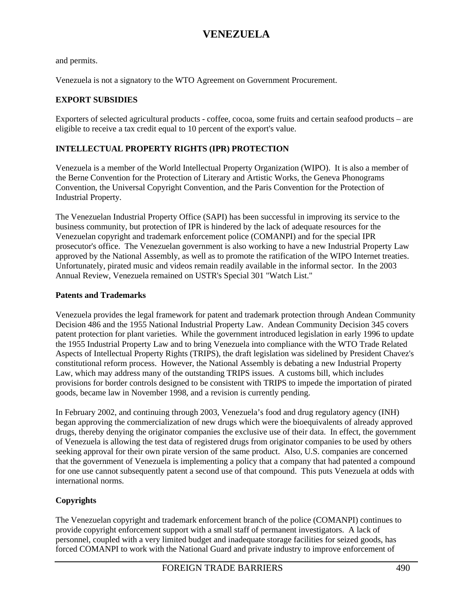and permits.

Venezuela is not a signatory to the WTO Agreement on Government Procurement.

### **EXPORT SUBSIDIES**

Exporters of selected agricultural products - coffee, cocoa, some fruits and certain seafood products – are eligible to receive a tax credit equal to 10 percent of the export's value.

### **INTELLECTUAL PROPERTY RIGHTS (IPR) PROTECTION**

Venezuela is a member of the World Intellectual Property Organization (WIPO). It is also a member of the Berne Convention for the Protection of Literary and Artistic Works, the Geneva Phonograms Convention, the Universal Copyright Convention, and the Paris Convention for the Protection of Industrial Property.

The Venezuelan Industrial Property Office (SAPI) has been successful in improving its service to the business community, but protection of IPR is hindered by the lack of adequate resources for the Venezuelan copyright and trademark enforcement police (COMANPI) and for the special IPR prosecutor's office. The Venezuelan government is also working to have a new Industrial Property Law approved by the National Assembly, as well as to promote the ratification of the WIPO Internet treaties. Unfortunately, pirated music and videos remain readily available in the informal sector. In the 2003 Annual Review, Venezuela remained on USTR's Special 301 "Watch List."

#### **Patents and Trademarks**

Venezuela provides the legal framework for patent and trademark protection through Andean Community Decision 486 and the 1955 National Industrial Property Law. Andean Community Decision 345 covers patent protection for plant varieties. While the government introduced legislation in early 1996 to update the 1955 Industrial Property Law and to bring Venezuela into compliance with the WTO Trade Related Aspects of Intellectual Property Rights (TRIPS), the draft legislation was sidelined by President Chavez's constitutional reform process. However, the National Assembly is debating a new Industrial Property Law, which may address many of the outstanding TRIPS issues. A customs bill, which includes provisions for border controls designed to be consistent with TRIPS to impede the importation of pirated goods, became law in November 1998, and a revision is currently pending.

In February 2002, and continuing through 2003, Venezuela's food and drug regulatory agency (INH) began approving the commercialization of new drugs which were the bioequivalents of already approved drugs, thereby denying the originator companies the exclusive use of their data. In effect, the government of Venezuela is allowing the test data of registered drugs from originator companies to be used by others seeking approval for their own pirate version of the same product. Also, U.S. companies are concerned that the government of Venezuela is implementing a policy that a company that had patented a compound for one use cannot subsequently patent a second use of that compound. This puts Venezuela at odds with international norms.

### **Copyrights**

The Venezuelan copyright and trademark enforcement branch of the police (COMANPI) continues to provide copyright enforcement support with a small staff of permanent investigators. A lack of personnel, coupled with a very limited budget and inadequate storage facilities for seized goods, has forced COMANPI to work with the National Guard and private industry to improve enforcement of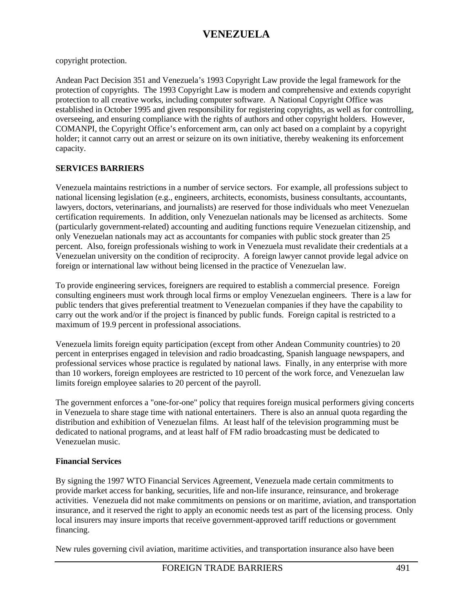copyright protection.

Andean Pact Decision 351 and Venezuela's 1993 Copyright Law provide the legal framework for the protection of copyrights. The 1993 Copyright Law is modern and comprehensive and extends copyright protection to all creative works, including computer software. A National Copyright Office was established in October 1995 and given responsibility for registering copyrights, as well as for controlling, overseeing, and ensuring compliance with the rights of authors and other copyright holders. However, COMANPI, the Copyright Office's enforcement arm, can only act based on a complaint by a copyright holder; it cannot carry out an arrest or seizure on its own initiative, thereby weakening its enforcement capacity.

### **SERVICES BARRIERS**

Venezuela maintains restrictions in a number of service sectors. For example, all professions subject to national licensing legislation (e.g., engineers, architects, economists, business consultants, accountants, lawyers, doctors, veterinarians, and journalists) are reserved for those individuals who meet Venezuelan certification requirements. In addition, only Venezuelan nationals may be licensed as architects. Some (particularly government-related) accounting and auditing functions require Venezuelan citizenship, and only Venezuelan nationals may act as accountants for companies with public stock greater than 25 percent. Also, foreign professionals wishing to work in Venezuela must revalidate their credentials at a Venezuelan university on the condition of reciprocity. A foreign lawyer cannot provide legal advice on foreign or international law without being licensed in the practice of Venezuelan law.

To provide engineering services, foreigners are required to establish a commercial presence. Foreign consulting engineers must work through local firms or employ Venezuelan engineers. There is a law for public tenders that gives preferential treatment to Venezuelan companies if they have the capability to carry out the work and/or if the project is financed by public funds. Foreign capital is restricted to a maximum of 19.9 percent in professional associations.

Venezuela limits foreign equity participation (except from other Andean Community countries) to 20 percent in enterprises engaged in television and radio broadcasting, Spanish language newspapers, and professional services whose practice is regulated by national laws. Finally, in any enterprise with more than 10 workers, foreign employees are restricted to 10 percent of the work force, and Venezuelan law limits foreign employee salaries to 20 percent of the payroll.

The government enforces a "one-for-one" policy that requires foreign musical performers giving concerts in Venezuela to share stage time with national entertainers. There is also an annual quota regarding the distribution and exhibition of Venezuelan films. At least half of the television programming must be dedicated to national programs, and at least half of FM radio broadcasting must be dedicated to Venezuelan music.

#### **Financial Services**

By signing the 1997 WTO Financial Services Agreement, Venezuela made certain commitments to provide market access for banking, securities, life and non-life insurance, reinsurance, and brokerage activities. Venezuela did not make commitments on pensions or on maritime, aviation, and transportation insurance, and it reserved the right to apply an economic needs test as part of the licensing process. Only local insurers may insure imports that receive government-approved tariff reductions or government financing.

New rules governing civil aviation, maritime activities, and transportation insurance also have been